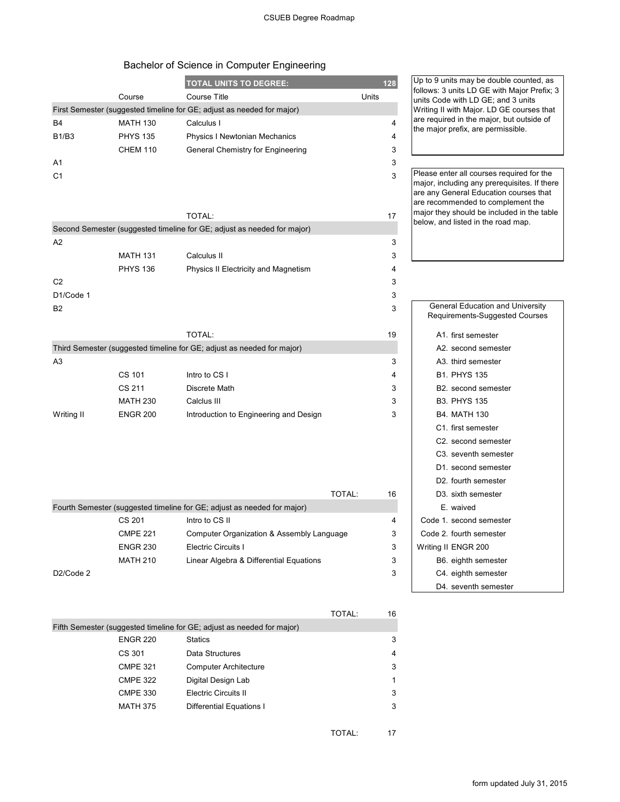## Bachelor of Science in Computer Engineering

|                        |                 | <b>TOTAL UNITS TO DEGREE:</b>                                           |        |    | Up to 9 units may                                                                 |  |
|------------------------|-----------------|-------------------------------------------------------------------------|--------|----|-----------------------------------------------------------------------------------|--|
|                        | Course          | <b>Course Title</b>                                                     | Units  |    | follows: 3 units LD<br>units Code with Ll                                         |  |
|                        |                 | First Semester (suggested timeline for GE; adjust as needed for major)  |        |    | Writing II with Maj                                                               |  |
| B4                     | <b>MATH 130</b> | Calculus I                                                              |        | 4  | are required in the                                                               |  |
| B1/B3                  | <b>PHYS 135</b> | Physics I Newtonian Mechanics                                           |        | 4  | the major prefix, a                                                               |  |
|                        | <b>CHEM 110</b> | General Chemistry for Engineering                                       |        | 3  |                                                                                   |  |
| A1                     |                 |                                                                         |        | 3  |                                                                                   |  |
| C1                     |                 |                                                                         |        | 3  | Please enter all co<br>major, including a<br>are any General E<br>are recommended |  |
|                        |                 | TOTAL:                                                                  |        | 17 | major they should<br>below, and listed                                            |  |
|                        |                 | Second Semester (suggested timeline for GE; adjust as needed for major) |        |    |                                                                                   |  |
| A2                     |                 |                                                                         |        | 3  |                                                                                   |  |
|                        | <b>MATH 131</b> | Calculus II                                                             |        | 3  |                                                                                   |  |
|                        | <b>PHYS 136</b> | Physics II Electricity and Magnetism                                    |        | 4  |                                                                                   |  |
| C <sub>2</sub>         |                 |                                                                         |        | 3  |                                                                                   |  |
| D1/Code 1              |                 |                                                                         |        | 3  |                                                                                   |  |
| B2                     |                 |                                                                         |        | 3  | General Edu<br>Requirements                                                       |  |
|                        |                 | TOTAL:                                                                  |        | 19 | A1. first se                                                                      |  |
|                        |                 | Third Semester (suggested timeline for GE; adjust as needed for major)  |        |    | A2. second                                                                        |  |
| A3                     |                 |                                                                         |        | 3  | A3. third se                                                                      |  |
|                        | CS 101          | Intro to CS I                                                           |        | 4  | B1. PHYS                                                                          |  |
|                        | CS 211          | Discrete Math                                                           |        | 3  | B2. second                                                                        |  |
|                        | <b>MATH 230</b> | Calclus III                                                             |        | 3  | B3. PHYS                                                                          |  |
| Writing II             | <b>ENGR 200</b> | Introduction to Engineering and Design                                  |        | 3  | B4. MATH                                                                          |  |
|                        |                 |                                                                         |        |    | C1. first se                                                                      |  |
|                        |                 |                                                                         |        |    | C <sub>2</sub> . second                                                           |  |
|                        |                 |                                                                         |        |    | C <sub>3</sub> . sevent                                                           |  |
|                        |                 |                                                                         |        |    | D <sub>1</sub> . second                                                           |  |
|                        |                 |                                                                         |        |    | D2. fourth :                                                                      |  |
|                        |                 |                                                                         | TOTAL: | 16 | D3. sixth se                                                                      |  |
|                        |                 | Fourth Semester (suggested timeline for GE; adjust as needed for major) |        |    | E. waived                                                                         |  |
|                        | CS 201          | Intro to CS II                                                          |        | 4  | Code 1. second                                                                    |  |
|                        | <b>CMPE 221</b> | Computer Organization & Assembly Language                               |        | 3  | Code 2. fourth :                                                                  |  |
|                        | <b>ENGR 230</b> | Electric Circuits I                                                     |        | 3  | Writing II ENGR                                                                   |  |
|                        | <b>MATH 210</b> | Linear Algebra & Differential Equations                                 |        | 3  | B6. eighth                                                                        |  |
| D <sub>2</sub> /Code 2 |                 |                                                                         |        | 3  | C4. eighth                                                                        |  |
|                        |                 |                                                                         |        |    | D4. sevent                                                                        |  |
|                        |                 |                                                                         |        |    |                                                                                   |  |
|                        |                 |                                                                         | TOTAL: | 16 |                                                                                   |  |
|                        |                 | Fifth Semester (suggested timeline for GE; adjust as needed for major)  |        |    |                                                                                   |  |
|                        | <b>ENGR 220</b> | Statics                                                                 |        | 3  |                                                                                   |  |
|                        | CS 301          | Data Structures                                                         |        | 4  |                                                                                   |  |
|                        | <b>CMPE 321</b> | <b>Computer Architecture</b>                                            |        | 3  |                                                                                   |  |
|                        | <b>CMPE 322</b> | Digital Design Lab                                                      |        | 1  |                                                                                   |  |

CMPE 330 Electric Circuits II 3 MATH 375 Differential Equations I 3 Up to 9 units may be double counted, as follows: 3 units LD GE with Major Prefix; 3 units Code with LD GE; and 3 units Writing II with Major. LD GE courses that are required in the major, but outside of the major prefix, are permissible.

Please enter all courses required for the major, including any prerequisites. If there are any General Education courses that are recommended to complement the major they should be included in the table below, and listed in the road map.

| <b>General Education and University</b> |
|-----------------------------------------|
| Requirements-Suggested Courses          |
| A1. first semester                      |
| A2. second semester                     |
| A3. third semester                      |
| <b>B1. PHYS 135</b>                     |
| B <sub>2</sub> second semester          |
| <b>B3. PHYS 135</b>                     |
| <b>B4. MATH 130</b>                     |
| C1. first semester                      |
| C <sub>2</sub> . second semester        |
| C <sub>3</sub> . seventh semester       |
| D1. second semester                     |
| D2. fourth semester                     |
| D3. sixth semester                      |
| F waived                                |
| Code 1. second semester                 |
| Code 2. fourth semester                 |
| Writing II ENGR 200                     |
| B6. eighth semester                     |
| C4. eighth semester                     |
| D4. seventh semester                    |

TOTAL: 17